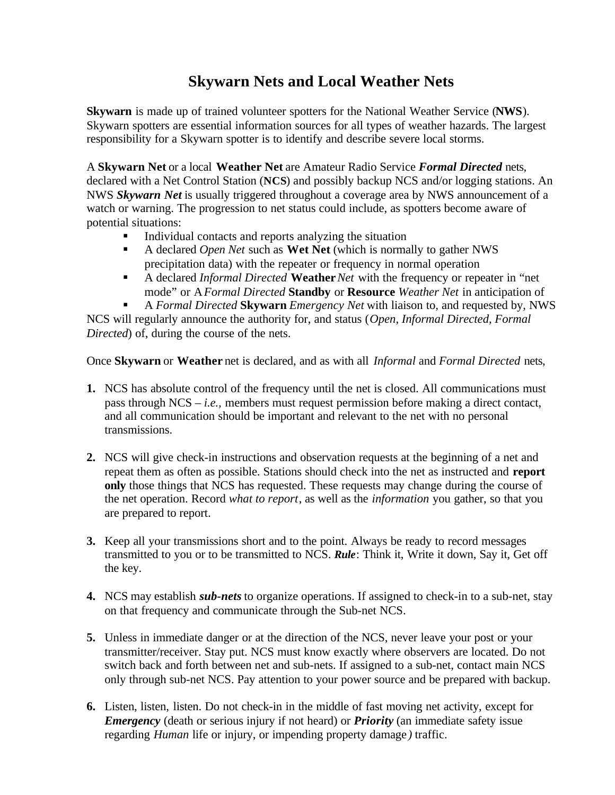# **Skywarn Nets and Local Weather Nets**

**Skywarn** is made up of trained volunteer spotters for the National Weather Service (**NWS**). Skywarn spotters are essential information sources for all types of weather hazards. The largest responsibility for a Skywarn spotter is to identify and describe severe local storms.

A **Skywarn Net** or a local **Weather Net** are Amateur Radio Service *Formal Directed* nets, declared with a Net Control Station (**NCS**) and possibly backup NCS and/or logging stations. An NWS *Skywarn Net* is usually triggered throughout a coverage area by NWS announcement of a watch or warning. The progression to net status could include, as spotters become aware of potential situations:

- ß Individual contacts and reports analyzing the situation
- A declared *Open Net* such as **Wet Net** (which is normally to gather NWS precipitation data) with the repeater or frequency in normal operation
- A declared *Informal Directed* **Weather** *Net* with the frequency or repeater in "net mode" or A *Formal Directed* **Standby** or **Resource** *Weather Net* in anticipation of

ß A *Formal Directed* **Skywarn** *Emergency Net* with liaison to, and requested by, NWS NCS will regularly announce the authority for, and status (*Open, Informal Directed, Formal Directed*) of, during the course of the nets.

Once **Skywarn** or **Weather** net is declared, and as with all *Informal* and *Formal Directed* nets,

- **1.** NCS has absolute control of the frequency until the net is closed. All communications must pass through NCS – *i.e.,* members must request permission before making a direct contact, and all communication should be important and relevant to the net with no personal transmissions.
- **2.** NCS will give check-in instructions and observation requests at the beginning of a net and repeat them as often as possible. Stations should check into the net as instructed and **report only** those things that NCS has requested. These requests may change during the course of the net operation. Record *what to report*, as well as the *information* you gather, so that you are prepared to report.
- **3.** Keep all your transmissions short and to the point. Always be ready to record messages transmitted to you or to be transmitted to NCS. *Rule*: Think it, Write it down, Say it, Get off the key.
- **4.** NCS may establish *sub-nets* to organize operations. If assigned to check-in to a sub-net, stay on that frequency and communicate through the Sub-net NCS.
- **5.** Unless in immediate danger or at the direction of the NCS, never leave your post or your transmitter/receiver. Stay put. NCS must know exactly where observers are located. Do not switch back and forth between net and sub-nets. If assigned to a sub-net, contact main NCS only through sub-net NCS. Pay attention to your power source and be prepared with backup.
- **6.** Listen, listen, listen. Do not check-in in the middle of fast moving net activity, except for *Emergency* (death or serious injury if not heard) or *Priority* (an immediate safety issue regarding *Human* life or injury, or impending property damage *)* traffic.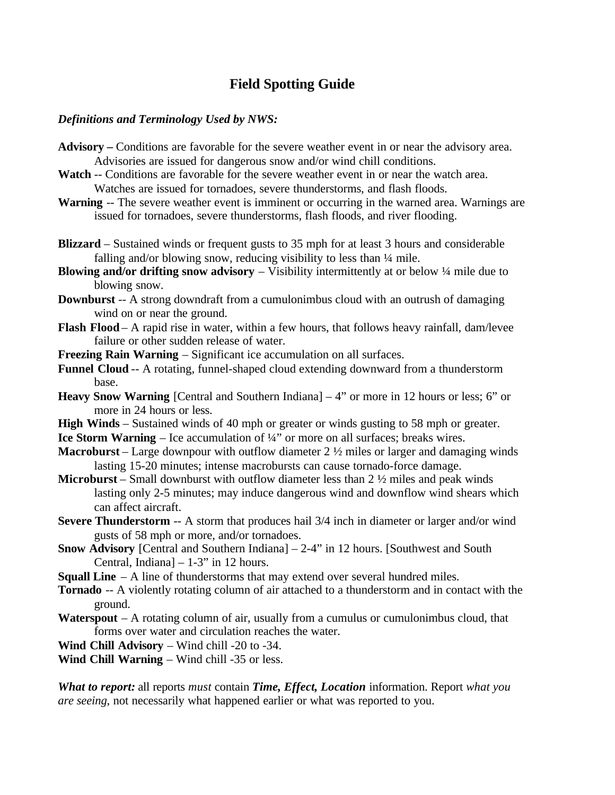# **Field Spotting Guide**

#### *Definitions and Terminology Used by NWS:*

- **Advisory** Conditions are favorable for the severe weather event in or near the advisory area. Advisories are issued for dangerous snow and/or wind chill conditions.
- **Watch** -- Conditions are favorable for the severe weather event in or near the watch area. Watches are issued for tornadoes, severe thunderstorms, and flash floods.
- **Warning** -- The severe weather event is imminent or occurring in the warned area. Warnings are issued for tornadoes, severe thunderstorms, flash floods, and river flooding.
- **Blizzard**  Sustained winds or frequent gusts to 35 mph for at least 3 hours and considerable falling and/or blowing snow, reducing visibility to less than  $\frac{1}{4}$  mile.
- **Blowing and/or drifting snow advisory** Visibility intermittently at or below  $\frac{1}{4}$  mile due to blowing snow.
- **Downburst** -- A strong downdraft from a cumulonimbus cloud with an outrush of damaging wind on or near the ground.
- **Flash Flood** A rapid rise in water, within a few hours, that follows heavy rainfall, dam/levee failure or other sudden release of water.
- **Freezing Rain Warning** Significant ice accumulation on all surfaces.
- **Funnel Cloud** -- A rotating, funnel-shaped cloud extending downward from a thunderstorm base.
- **Heavy Snow Warning** [Central and Southern Indiana] 4" or more in 12 hours or less; 6" or more in 24 hours or less.
- **High Winds**  Sustained winds of 40 mph or greater or winds gusting to 58 mph or greater.
- **Ice Storm Warning** Ice accumulation of  $\frac{1}{4}$ " or more on all surfaces; breaks wires.
- **Macroburst** Large downpour with outflow diameter 2 ½ miles or larger and damaging winds lasting 15-20 minutes; intense macrobursts can cause tornado-force damage.
- **Microburst** Small downburst with outflow diameter less than 2 ½ miles and peak winds lasting only 2-5 minutes; may induce dangerous wind and downflow wind shears which can affect aircraft.
- **Severe Thunderstorm** -- A storm that produces hail  $3/4$  inch in diameter or larger and/or wind gusts of 58 mph or more, and/or tornadoes.
- **Snow Advisory** [Central and Southern Indiana] 2-4" in 12 hours. [Southwest and South Central, Indiana]  $-1-3$ " in 12 hours.
- **Squall Line** A line of thunderstorms that may extend over several hundred miles.
- **Tornado** -- A violently rotating column of air attached to a thunderstorm and in contact with the ground.
- Waterspout A rotating column of air, usually from a cumulus or cumulonimbus cloud, that forms over water and circulation reaches the water.

**Wind Chill Advisory** – Wind chill -20 to -34.

**Wind Chill Warning** – Wind chill -35 or less.

*What to report:* all reports *must* contain *Time, Effect, Location* information. Report *what you are seeing*, not necessarily what happened earlier or what was reported to you.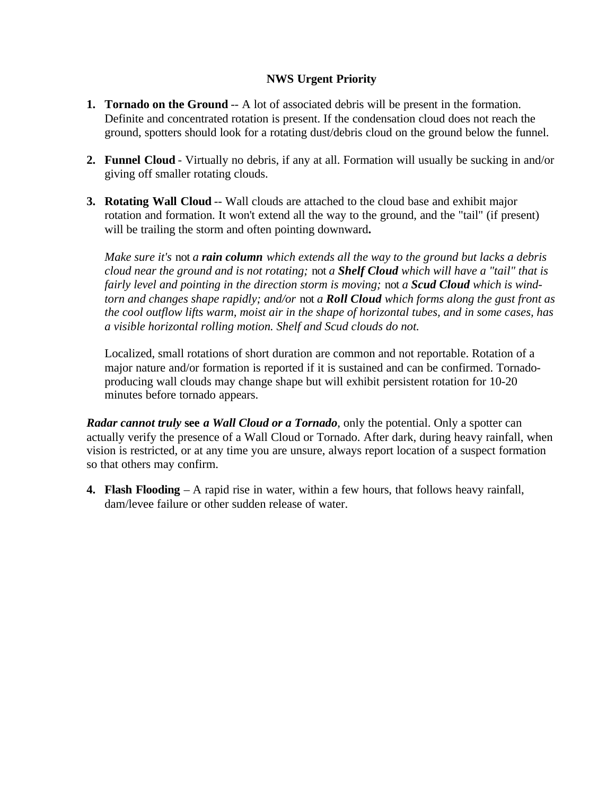## **NWS Urgent Priority**

- **1. Tornado on the Ground** -- A lot of associated debris will be present in the formation. Definite and concentrated rotation is present. If the condensation cloud does not reach the ground, spotters should look for a rotating dust/debris cloud on the ground below the funnel.
- **2. Funnel Cloud** Virtually no debris, if any at all. Formation will usually be sucking in and/or giving off smaller rotating clouds.
- **3. Rotating Wall Cloud** -- Wall clouds are attached to the cloud base and exhibit major rotation and formation. It won't extend all the way to the ground, and the "tail" (if present) will be trailing the storm and often pointing downward**.**

*Make sure it's* not *a rain column which extends all the way to the ground but lacks a debris cloud near the ground and is not rotating;* not *a Shelf Cloud which will have a "tail" that is fairly level and pointing in the direction storm is moving;* not *a Scud Cloud which is windtorn and changes shape rapidly; and/or* not *a Roll Cloud which forms along the gust front as the cool outflow lifts warm, moist air in the shape of horizontal tubes, and in some cases, has a visible horizontal rolling motion. Shelf and Scud clouds do not.*

Localized, small rotations of short duration are common and not reportable. Rotation of a major nature and/or formation is reported if it is sustained and can be confirmed. Tornadoproducing wall clouds may change shape but will exhibit persistent rotation for 10-20 minutes before tornado appears.

*Radar cannot truly* **see** *a Wall Cloud or a Tornado*, only the potential. Only a spotter can actually verify the presence of a Wall Cloud or Tornado. After dark, during heavy rainfall, when vision is restricted, or at any time you are unsure, always report location of a suspect formation so that others may confirm.

**4. Flash Flooding** *–* A rapid rise in water, within a few hours, that follows heavy rainfall, dam/levee failure or other sudden release of water.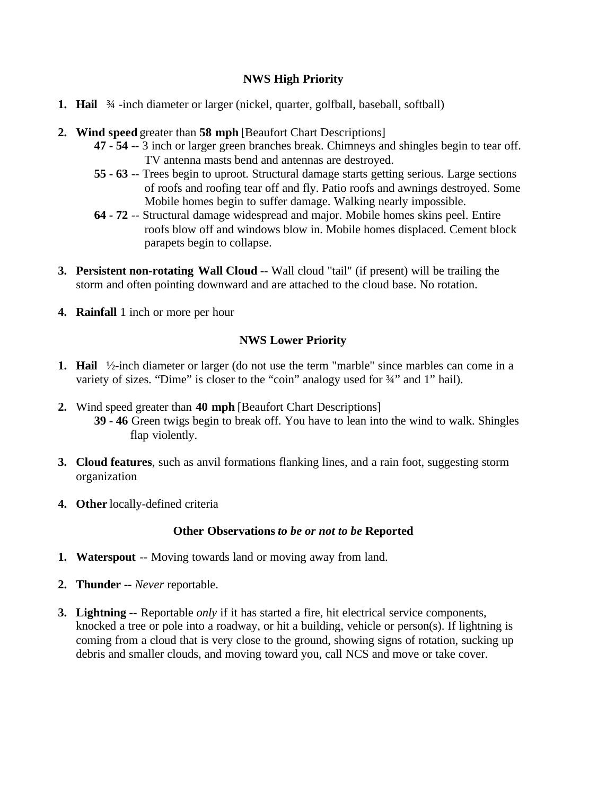# **NWS High Priority**

- **1. Hail**  $\frac{3}{4}$ -inch diameter or larger (nickel, quarter, golfball, baseball, softball)
- **2. Wind speed** greater than **58 mph** [Beaufort Chart Descriptions]
	- **47 54** -- 3 inch or larger green branches break. Chimneys and shingles begin to tear off. TV antenna masts bend and antennas are destroyed.
	- **55 63** -- Trees begin to uproot. Structural damage starts getting serious. Large sections of roofs and roofing tear off and fly. Patio roofs and awnings destroyed. Some Mobile homes begin to suffer damage. Walking nearly impossible.
	- **64 72** -- Structural damage widespread and major. Mobile homes skins peel. Entire roofs blow off and windows blow in. Mobile homes displaced. Cement block parapets begin to collapse.
- **3. Persistent non-rotating Wall Cloud** -- Wall cloud "tail" (if present) will be trailing the storm and often pointing downward and are attached to the cloud base. No rotation.
- **4. Rainfall** 1 inch or more per hour

### **NWS Lower Priority**

- **1. Hail** ½-inch diameter or larger (do not use the term "marble" since marbles can come in a variety of sizes. "Dime" is closer to the "coin" analogy used for  $\frac{3}{4}$ " and 1" hail).
- **2.** Wind speed greater than **40 mph** [Beaufort Chart Descriptions] **39 - 46** Green twigs begin to break off. You have to lean into the wind to walk. Shingles flap violently.
- **3. Cloud features**, such as anvil formations flanking lines, and a rain foot, suggesting storm organization
- **4. Other** locally-defined criteria

#### **Other Observations** *to be or not to be* **Reported**

- **1. Waterspout** -- Moving towards land or moving away from land.
- **2. Thunder --** *Never* reportable.
- **3. Lightning --** Reportable *only* if it has started a fire, hit electrical service components, knocked a tree or pole into a roadway, or hit a building, vehicle or person(s). If lightning is coming from a cloud that is very close to the ground, showing signs of rotation, sucking up debris and smaller clouds, and moving toward you, call NCS and move or take cover.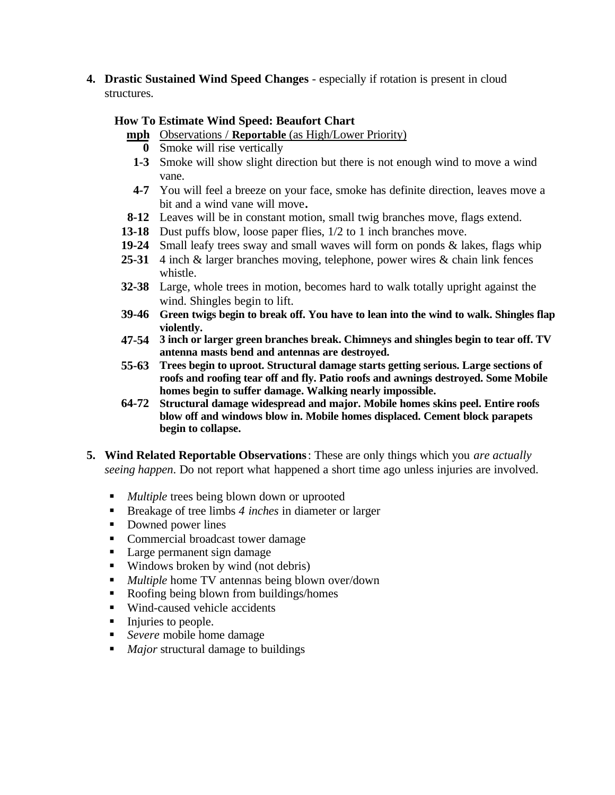**4. Drastic Sustained Wind Speed Changes** - especially if rotation is present in cloud structures.

## **How To Estimate Wind Speed: Beaufort Chart**

- **mph** Observations / **Reportable** (as High/Lower Priority)
	- **0** Smoke will rise vertically
	- **1-3** Smoke will show slight direction but there is not enough wind to move a wind vane.
- **4-7** You will feel a breeze on your face, smoke has definite direction, leaves move a bit and a wind vane will move**.**
- **8-12** Leaves will be in constant motion, small twig branches move, flags extend.
- **13-18** Dust puffs blow, loose paper flies, 1/2 to 1 inch branches move.
- **19-24** Small leafy trees sway and small waves will form on ponds & lakes, flags whip
- **25-31** 4 inch & larger branches moving, telephone, power wires & chain link fences whistle.
- **32-38** Large, whole trees in motion, becomes hard to walk totally upright against the wind. Shingles begin to lift.
- **39-46 Green twigs begin to break off. You have to lean into the wind to walk. Shingles flap violently.**
- **47-54 3 inch or larger green branches break. Chimneys and shingles begin to tear off. TV antenna masts bend and antennas are destroyed.**
- **55-63 Trees begin to uproot. Structural damage starts getting serious. Large sections of roofs and roofing tear off and fly. Patio roofs and awnings destroyed. Some Mobile homes begin to suffer damage. Walking nearly impossible.**
- **64-72 Structural damage widespread and major. Mobile homes skins peel. Entire roofs blow off and windows blow in. Mobile homes displaced. Cement block parapets begin to collapse.**
- **5. Wind Related Reportable Observations**: These are only things which you *are actually seeing happen*. Do not report what happened a short time ago unless injuries are involved.
	- *Multiple* trees being blown down or uprooted
	- Breakage of tree limbs 4 *inches* in diameter or larger
	- Downed power lines
	- Commercial broadcast tower damage
	- Large permanent sign damage
	- $\blacksquare$  Windows broken by wind (not debris)
	- **Multiple home TV antennas being blown over/down**
	- Roofing being blown from buildings/homes
	- Wind-caused vehicle accidents
	- $\blacksquare$  Injuries to people.
	- *Severe* mobile home damage
	- *Major* structural damage to buildings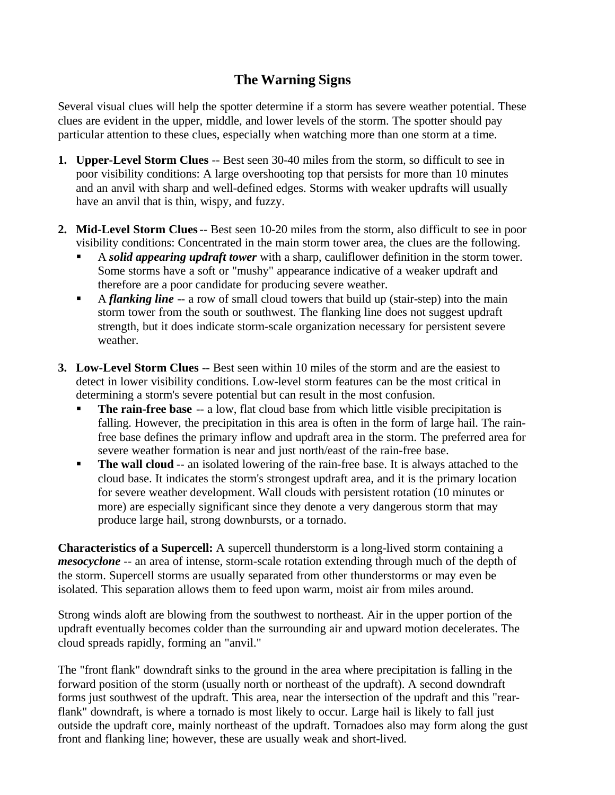# **The Warning Signs**

Several visual clues will help the spotter determine if a storm has severe weather potential. These clues are evident in the upper, middle, and lower levels of the storm. The spotter should pay particular attention to these clues, especially when watching more than one storm at a time.

- **1. Upper-Level Storm Clues** -- Best seen 30-40 miles from the storm, so difficult to see in poor visibility conditions: A large overshooting top that persists for more than 10 minutes and an anvil with sharp and well-defined edges. Storms with weaker updrafts will usually have an anvil that is thin, wispy, and fuzzy.
- **2. Mid-Level Storm Clues** -- Best seen 10-20 miles from the storm, also difficult to see in poor visibility conditions: Concentrated in the main storm tower area, the clues are the following.
	- ß A *solid appearing updraft tower* with a sharp, cauliflower definition in the storm tower. Some storms have a soft or "mushy" appearance indicative of a weaker updraft and therefore are a poor candidate for producing severe weather.
	- A *flanking line* -- a row of small cloud towers that build up (stair-step) into the main storm tower from the south or southwest. The flanking line does not suggest updraft strength, but it does indicate storm-scale organization necessary for persistent severe weather.
- **3. Low-Level Storm Clues** -- Best seen within 10 miles of the storm and are the easiest to detect in lower visibility conditions. Low-level storm features can be the most critical in determining a storm's severe potential but can result in the most confusion.
	- **The rain-free base** -- a low, flat cloud base from which little visible precipitation is falling. However, the precipitation in this area is often in the form of large hail. The rainfree base defines the primary inflow and updraft area in the storm. The preferred area for severe weather formation is near and just north/east of the rain-free base.
	- **The wall cloud** -- an isolated lowering of the rain-free base. It is always attached to the cloud base. It indicates the storm's strongest updraft area, and it is the primary location for severe weather development. Wall clouds with persistent rotation (10 minutes or more) are especially significant since they denote a very dangerous storm that may produce large hail, strong downbursts, or a tornado.

**Characteristics of a Supercell:** A supercell thunderstorm is a long-lived storm containing a *mesocyclone* -- an area of intense, storm-scale rotation extending through much of the depth of the storm. Supercell storms are usually separated from other thunderstorms or may even be isolated. This separation allows them to feed upon warm, moist air from miles around.

Strong winds aloft are blowing from the southwest to northeast. Air in the upper portion of the updraft eventually becomes colder than the surrounding air and upward motion decelerates. The cloud spreads rapidly, forming an "anvil."

The "front flank" downdraft sinks to the ground in the area where precipitation is falling in the forward position of the storm (usually north or northeast of the updraft). A second downdraft forms just southwest of the updraft. This area, near the intersection of the updraft and this "rearflank" downdraft, is where a tornado is most likely to occur. Large hail is likely to fall just outside the updraft core, mainly northeast of the updraft. Tornadoes also may form along the gust front and flanking line; however, these are usually weak and short-lived.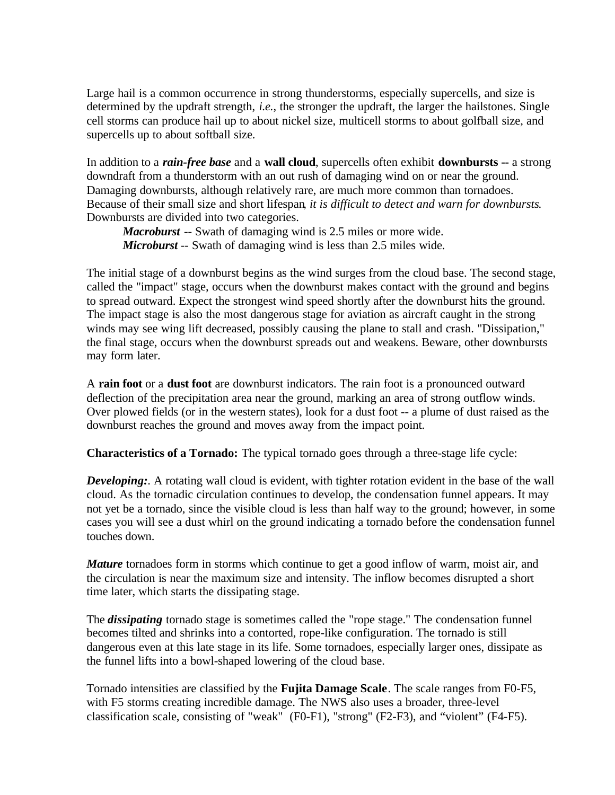Large hail is a common occurrence in strong thunderstorms, especially supercells, and size is determined by the updraft strength, *i.e.*, the stronger the updraft, the larger the hailstones. Single cell storms can produce hail up to about nickel size, multicell storms to about golfball size, and supercells up to about softball size.

In addition to a *rain-free base* and a **wall cloud**, supercells often exhibit **downbursts --** a strong downdraft from a thunderstorm with an out rush of damaging wind on or near the ground. Damaging downbursts, although relatively rare, are much more common than tornadoes. Because of their small size and short lifespan*, it is difficult to detect and warn for downbursts*. Downbursts are divided into two categories.

*Macroburst* -- Swath of damaging wind is 2.5 miles or more wide. *Microburst* -- Swath of damaging wind is less than 2.5 miles wide.

The initial stage of a downburst begins as the wind surges from the cloud base. The second stage, called the "impact" stage, occurs when the downburst makes contact with the ground and begins to spread outward. Expect the strongest wind speed shortly after the downburst hits the ground. The impact stage is also the most dangerous stage for aviation as aircraft caught in the strong winds may see wing lift decreased, possibly causing the plane to stall and crash. "Dissipation," the final stage, occurs when the downburst spreads out and weakens. Beware, other downbursts may form later.

A **rain foot** or a **dust foot** are downburst indicators. The rain foot is a pronounced outward deflection of the precipitation area near the ground, marking an area of strong outflow winds. Over plowed fields (or in the western states), look for a dust foot -- a plume of dust raised as the downburst reaches the ground and moves away from the impact point.

**Characteristics of a Tornado:** The typical tornado goes through a three-stage life cycle:

**Developing:**. A rotating wall cloud is evident, with tighter rotation evident in the base of the wall cloud. As the tornadic circulation continues to develop, the condensation funnel appears. It may not yet be a tornado, since the visible cloud is less than half way to the ground; however, in some cases you will see a dust whirl on the ground indicating a tornado before the condensation funnel touches down.

*Mature* tornadoes form in storms which continue to get a good inflow of warm, moist air, and the circulation is near the maximum size and intensity. The inflow becomes disrupted a short time later, which starts the dissipating stage.

The *dissipating* tornado stage is sometimes called the "rope stage." The condensation funnel becomes tilted and shrinks into a contorted, rope-like configuration. The tornado is still dangerous even at this late stage in its life. Some tornadoes, especially larger ones, dissipate as the funnel lifts into a bowl-shaped lowering of the cloud base.

Tornado intensities are classified by the **Fujita Damage Scale**. The scale ranges from F0-F5, with F5 storms creating incredible damage. The NWS also uses a broader, three-level classification scale, consisting of "weak" (F0-F1), "strong" (F2-F3), and "violent" (F4-F5).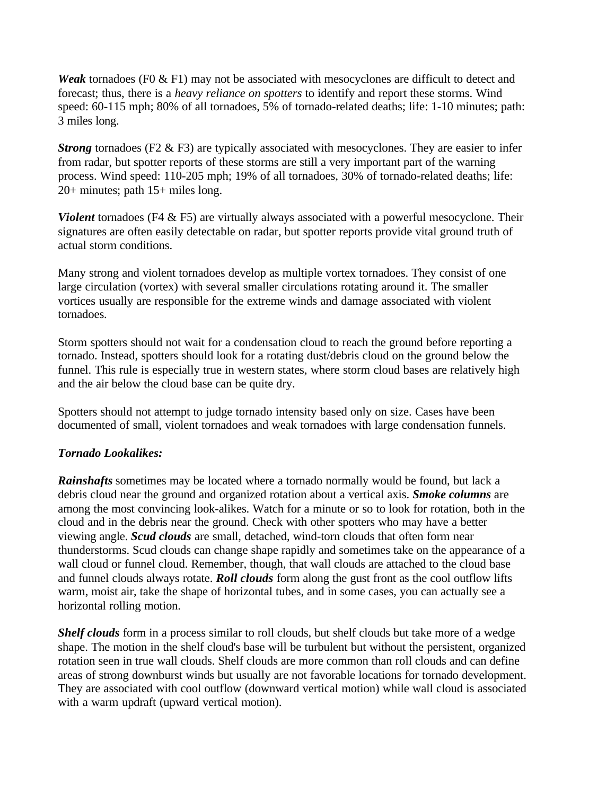*Weak* tornadoes (F0 & F1) may not be associated with mesocyclones are difficult to detect and forecast; thus, there is a *heavy reliance on spotters* to identify and report these storms. Wind speed: 60-115 mph; 80% of all tornadoes, 5% of tornado-related deaths; life: 1-10 minutes; path: 3 miles long.

*Strong* tornadoes (F2 & F3) are typically associated with mesocyclones. They are easier to infer from radar, but spotter reports of these storms are still a very important part of the warning process. Wind speed: 110-205 mph; 19% of all tornadoes, 30% of tornado-related deaths; life: 20+ minutes; path 15+ miles long.

*Violent* tornadoes (F4 & F5) are virtually always associated with a powerful mesocyclone. Their signatures are often easily detectable on radar, but spotter reports provide vital ground truth of actual storm conditions.

Many strong and violent tornadoes develop as multiple vortex tornadoes. They consist of one large circulation (vortex) with several smaller circulations rotating around it. The smaller vortices usually are responsible for the extreme winds and damage associated with violent tornadoes.

Storm spotters should not wait for a condensation cloud to reach the ground before reporting a tornado. Instead, spotters should look for a rotating dust/debris cloud on the ground below the funnel. This rule is especially true in western states, where storm cloud bases are relatively high and the air below the cloud base can be quite dry.

Spotters should not attempt to judge tornado intensity based only on size. Cases have been documented of small, violent tornadoes and weak tornadoes with large condensation funnels.

# *Tornado Lookalikes:*

**Rainshafts** sometimes may be located where a tornado normally would be found, but lack a debris cloud near the ground and organized rotation about a vertical axis. *Smoke columns* are among the most convincing look-alikes. Watch for a minute or so to look for rotation, both in the cloud and in the debris near the ground. Check with other spotters who may have a better viewing angle. *Scud clouds* are small, detached, wind-torn clouds that often form near thunderstorms. Scud clouds can change shape rapidly and sometimes take on the appearance of a wall cloud or funnel cloud. Remember, though, that wall clouds are attached to the cloud base and funnel clouds always rotate. *Roll clouds* form along the gust front as the cool outflow lifts warm, moist air, take the shape of horizontal tubes, and in some cases, you can actually see a horizontal rolling motion.

*Shelf clouds* form in a process similar to roll clouds, but shelf clouds but take more of a wedge shape. The motion in the shelf cloud's base will be turbulent but without the persistent, organized rotation seen in true wall clouds. Shelf clouds are more common than roll clouds and can define areas of strong downburst winds but usually are not favorable locations for tornado development. They are associated with cool outflow (downward vertical motion) while wall cloud is associated with a warm updraft (upward vertical motion).